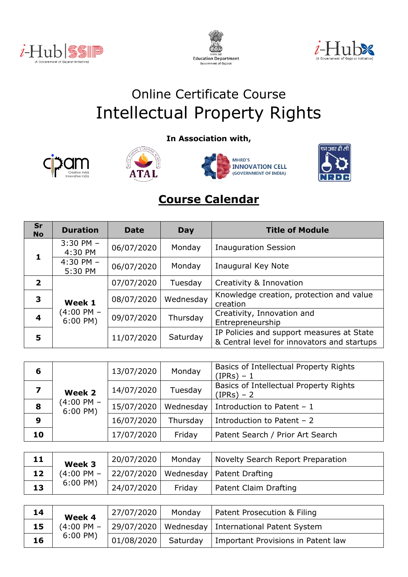





## Online Certificate Course Intellectual Property Rights

**In Association with,**









## **Course Calendar**

| Sr<br><b>No</b>         | <b>Duration</b>          | <b>Date</b> | Day       | <b>Title of Module</b>                                                                   |
|-------------------------|--------------------------|-------------|-----------|------------------------------------------------------------------------------------------|
|                         | $3:30$ PM $-$<br>4:30 PM | 06/07/2020  | Monday    | <b>Inauguration Session</b>                                                              |
| 1                       | $4:30$ PM $-$<br>5:30 PM | 06/07/2020  | Monday    | Inaugural Key Note                                                                       |
| $\overline{\mathbf{2}}$ |                          | 07/07/2020  | Tuesday   | Creativity & Innovation                                                                  |
| 3                       | Week 1                   | 08/07/2020  | Wednesday | Knowledge creation, protection and value<br>creation                                     |
| $\overline{\mathbf{4}}$ | (4:00 PM –<br>$6:00$ PM) | 09/07/2020  | Thursday  | Creativity, Innovation and<br>Entrepreneurship                                           |
| 5                       |                          | 11/07/2020  | Saturday  | IP Policies and support measures at State<br>& Central level for innovators and startups |

| 6  | Week 2<br>(4:00 PM –<br>$6:00$ PM) | 13/07/2020 | Monday   | Basics of Intellectual Property Rights<br>$(IPRs) - 1$ |
|----|------------------------------------|------------|----------|--------------------------------------------------------|
|    |                                    | 14/07/2020 | Tuesday  | Basics of Intellectual Property Rights<br>$(IPRs) - 2$ |
| 8  |                                    | 15/07/2020 |          | Wednesday   Introduction to Patent $-1$                |
| 9  |                                    | 16/07/2020 | Thursday | Introduction to Patent $-2$                            |
| 10 |                                    | 17/07/2020 | Friday   | Patent Search / Prior Art Search                       |

| 11 | Week 3                | 20/07/2020 | Monday | Novelty Search Report Preparation                            |
|----|-----------------------|------------|--------|--------------------------------------------------------------|
| 12 |                       |            |        | $(4:00 \text{ PM} - 22/07/2020)$ Wednesday   Patent Drafting |
| 13 | $6:00 \, \text{PM}$ ) | 24/07/2020 | Fridav | Patent Claim Drafting                                        |

| 14 | Week 4                | 27/07/2020 | Monday   | Patent Prosecution & Filing                          |
|----|-----------------------|------------|----------|------------------------------------------------------|
| 15 | $(4:00 \text{ PM} -$  |            |          | 29/07/2020   Wednesday   International Patent System |
| 16 | $6:00 \, \text{PM}$ ) | 01/08/2020 | Saturday | Important Provisions in Patent law                   |